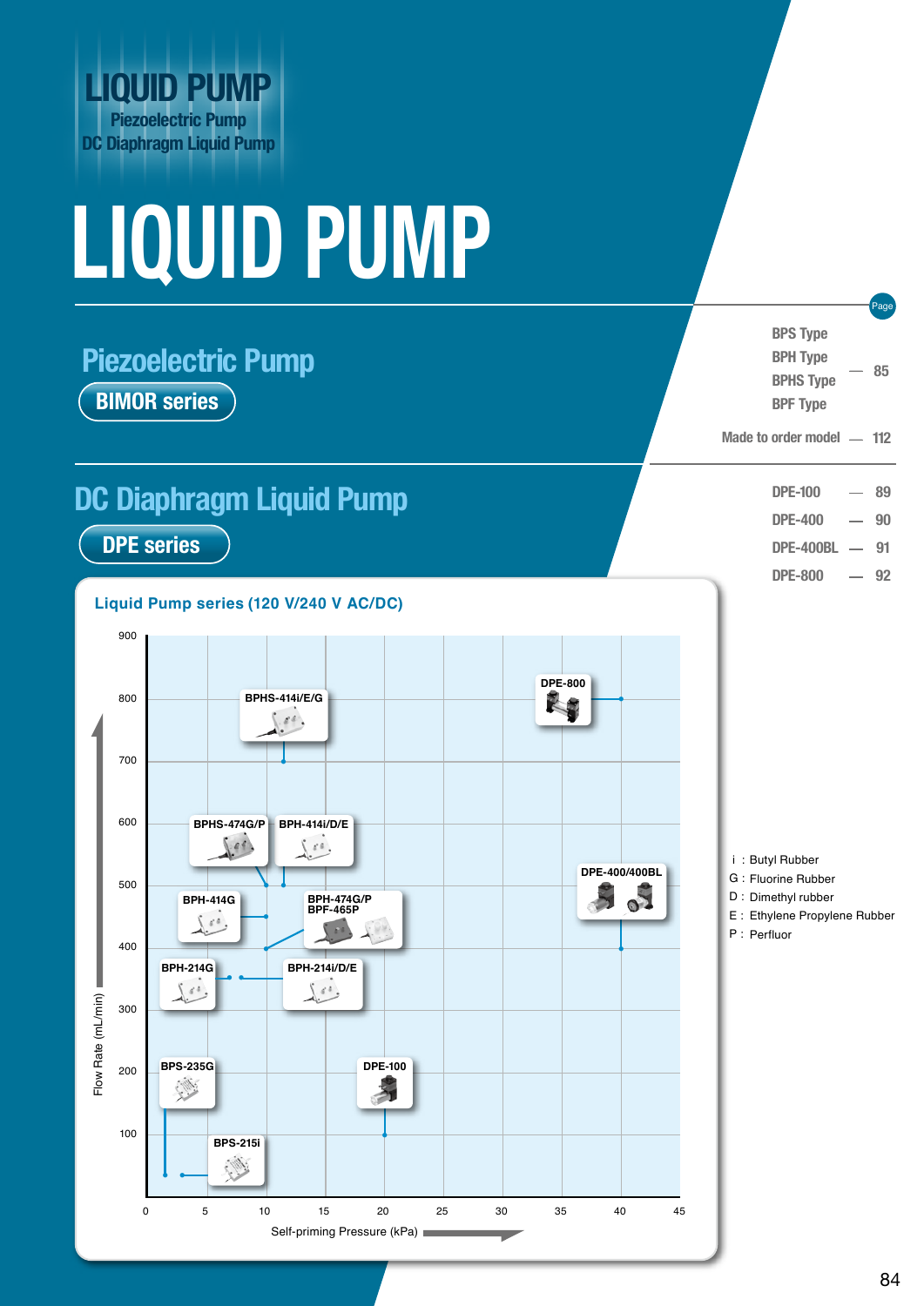

# **LIQUID PUMP**

# **Piezoelectric Pump BIMOR series**

# **DC Diaphragm Liquid Pump**

**DPE series**

**Liquid Pump series (120 V/240 V AC/DC)**



 i : Butyl Rubber G : Fluorine Rubber D : Dimethyl rubber E : Ethylene Propylene Rubber P : Perfluor - **BPS Type BPH Type BPHS Type BPF Type 85** -<br>-<br>-- - - **DPE-100 DPE-400 DPE-400BL DPE-800 89 90 91 92** Page Made to order model - 112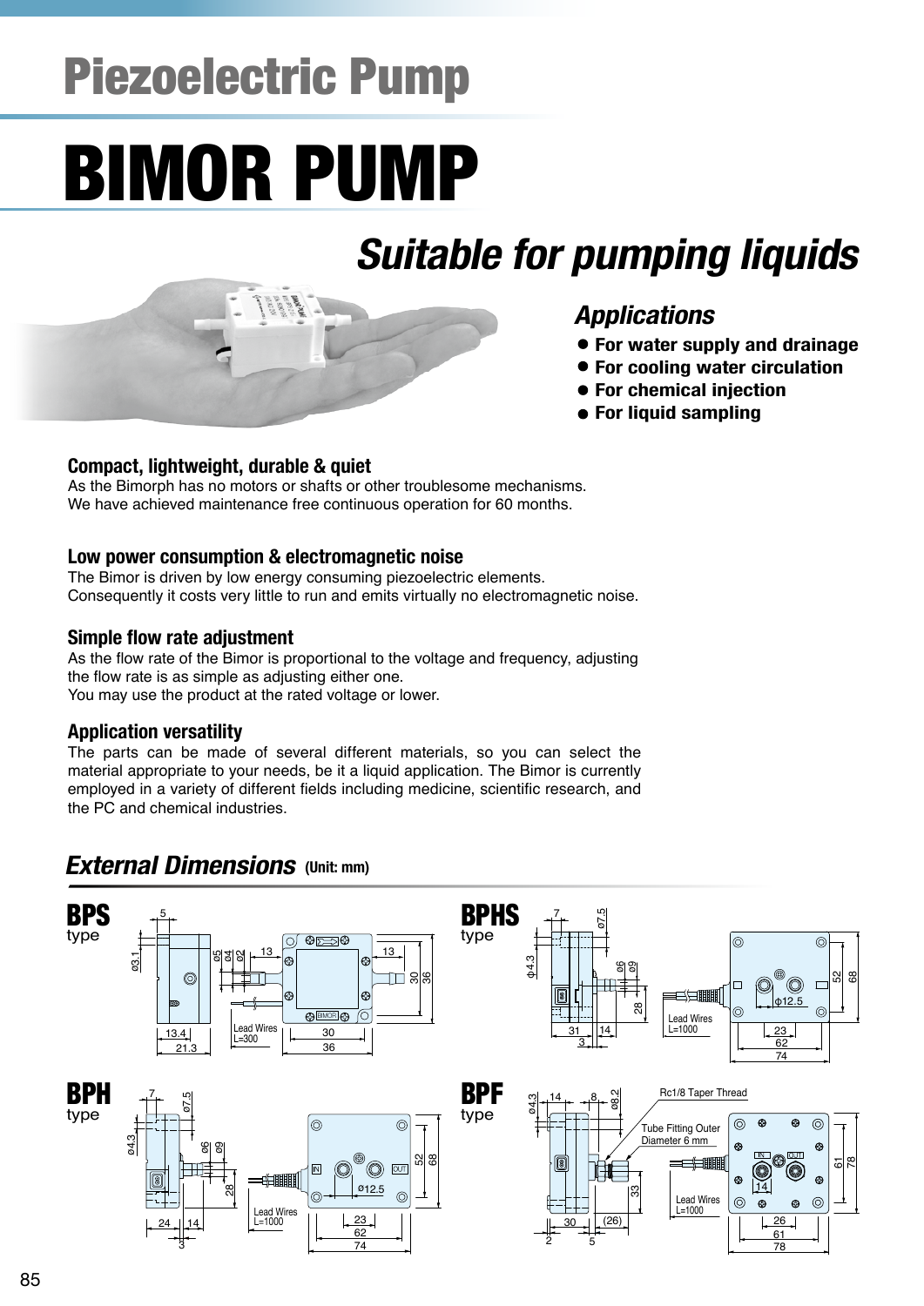# Piezoelectric Pump

# BIMOR PUMP

# **Suitable for pumping liquids**

# **Applications**

- **For water supply and drainage**
- **For cooling water circulation**
- **For chemical injection**
- **For liquid sampling**

#### **Compact, lightweight, durable & quiet**

As the Bimorph has no motors or shafts or other troublesome mechanisms. We have achieved maintenance free continuous operation for 60 months.

#### **Low power consumption & electromagnetic noise**

The Bimor is driven by low energy consuming piezoelectric elements. Consequently it costs very little to run and emits virtually no electromagnetic noise.

#### **Simple flow rate adjustment**

As the flow rate of the Bimor is proportional to the voltage and frequency, adjusting the flow rate is as simple as adjusting either one. You may use the product at the rated voltage or lower.

#### **Application versatility**

The parts can be made of several different materials, so you can select the material appropriate to your needs, be it a liquid application. The Bimor is currently employed in a variety of different fields including medicine, scientific research, and the PC and chemical industries.

### *External Dimensions* (Unit: mm)

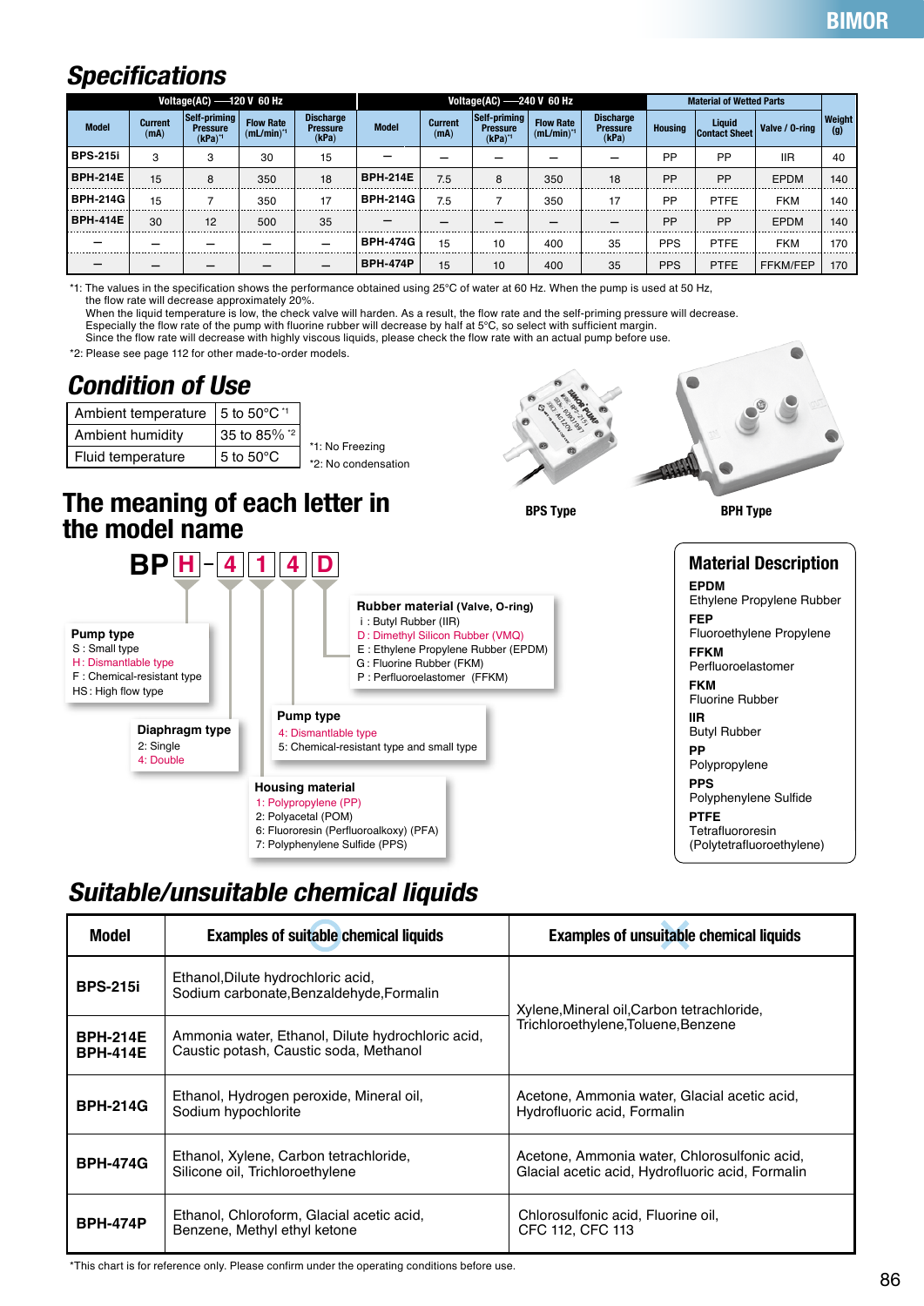## **Specifications**

| Voltage(AC) $-120$ V 60 Hz |                        |                                              |                                     | Voltage(AC) $-240$ V 60 Hz                   |                 |                        |                                                | <b>Material of Wetted Parts</b>    |                                              |                |                           |                 |               |
|----------------------------|------------------------|----------------------------------------------|-------------------------------------|----------------------------------------------|-----------------|------------------------|------------------------------------------------|------------------------------------|----------------------------------------------|----------------|---------------------------|-----------------|---------------|
| <b>Model</b>               | <b>Current</b><br>(mA) | Self-priming<br><b>Pressure</b><br>$(kPa)^4$ | <b>Flow Rate</b><br>$(mL/min)^{-1}$ | <b>Discharge</b><br><b>Pressure</b><br>(kPa) | <b>Model</b>    | <b>Current</b><br>(mA) | Self-priming<br><b>Pressure</b><br>$(kPa)^{1}$ | <b>Flow Rate</b><br>$(mL/min)^{4}$ | <b>Discharge</b><br><b>Pressure</b><br>(kPa) | <b>Housing</b> | Liquid<br>  Contact Sheet | Valve / 0-ring  | Weight<br>(g) |
| l BPS-215i                 | 3                      | 3                                            | 30                                  | 15                                           |                 |                        |                                                |                                    |                                              | <b>PP</b>      | <b>PP</b>                 | <b>IIR</b>      | 40            |
| l BPH-214E                 | 15                     | 8                                            | 350                                 | 18                                           | <b>BPH-214E</b> | 7.5                    | 8                                              | 350                                | 18                                           | PP             | <b>PP</b>                 | <b>EPDM</b>     | 140           |
| l BPH-214G                 | 15                     |                                              | 350                                 | 17                                           | BPH-214G        | 7.5                    |                                                | 350                                | 17                                           | <b>PP</b>      | PTFE                      | <b>FKM</b>      | 140           |
| l BPH-414E                 | 30                     | 12                                           | 500                                 | 35                                           |                 |                        |                                                |                                    |                                              | <b>PP</b>      | <b>PP</b>                 | <b>EPDM</b>     | 140           |
|                            |                        |                                              |                                     |                                              | BPH-474G        | 15                     | 10                                             | 400                                | 35                                           | <b>PPS</b>     | <b>PTFE</b>               | <b>FKM</b>      | 170           |
|                            |                        |                                              |                                     |                                              | <b>BPH-474P</b> | 15                     | 10                                             | 400                                | 35                                           | <b>PPS</b>     | <b>PTFE</b>               | <b>FFKM/FEP</b> | 170           |

\*1: The values in the specification shows the performance obtained using 25℃ of water at 60 Hz. When the pump is used at 50 Hz, the flow rate will decrease approximately 20%.

When the liquid temperature is low, the check valve will harden. As a result, the flow rate and the self-priming pressure will decrease.

Especially the flow rate of the pump with fluorine rubber will decrease by half at 5℃, so select with sufficient margin.

Since the flow rate will decrease with highly viscous liquids, please check the flow rate with an actual pump before use.

\*2: Please see page 112 for other made-to-order models.

## **Condition of Use**

| Ambient temperature | $\pm$ 5 to 50 $^{\circ}$ C $^{\prime}$ |                                        |  |  |  |
|---------------------|----------------------------------------|----------------------------------------|--|--|--|
| Ambient humidity    | 35 to 85% *2                           |                                        |  |  |  |
| Fluid temperature   | $\overline{5}$ to 50 $\degree$ C       | *1: No Freezing<br>*2: No condensation |  |  |  |

### **The meaning of each letter in the model name**



6: Fluororesin (Perfluoroalkoxy) (PFA) 7: Polyphenylene Sulfide (PPS)

#### **EPDM** Ethylene Propylene Rubber **FEP** Fluoroethylene Propylene **FFKM** Perfluoroelastomer **FKM** Fluorine Rubber **IIR** Butyl Rubber **PP** Polypropylene **PPS** Polyphenylene Sulfide **PTFE**

**Material Description**

Tetrafluororesin (Polytetrafluoroethylene)

**BPS Type BPH Type**

**Suitable/unsuitable chemical liquids**

| Model                              | <b>Examples of suitable chemical liquids</b>                                                | <b>Examples of unsuitable chemical liquids</b>                                                   |  |  |  |
|------------------------------------|---------------------------------------------------------------------------------------------|--------------------------------------------------------------------------------------------------|--|--|--|
| <b>BPS-215i</b>                    | Ethanol, Dilute hydrochloric acid,<br>Sodium carbonate, Benzaldehyde, Formalin              | Xylene, Mineral oil, Carbon tetrachloride,<br>Trichloroethylene, Toluene, Benzene                |  |  |  |
| <b>BPH-214E</b><br><b>BPH-414E</b> | Ammonia water, Ethanol, Dilute hydrochloric acid,<br>Caustic potash, Caustic soda, Methanol |                                                                                                  |  |  |  |
| <b>BPH-214G</b>                    | Ethanol, Hydrogen peroxide, Mineral oil,<br>Sodium hypochlorite                             | Acetone, Ammonia water, Glacial acetic acid,<br>Hydrofluoric acid, Formalin                      |  |  |  |
| <b>BPH-474G</b>                    | Ethanol, Xylene, Carbon tetrachloride,<br>Silicone oil, Trichloroethylene                   | Acetone, Ammonia water, Chlorosulfonic acid,<br>Glacial acetic acid, Hydrofluoric acid, Formalin |  |  |  |
| <b>BPH-474P</b>                    | Ethanol, Chloroform, Glacial acetic acid,<br>Benzene, Methyl ethyl ketone                   | Chlorosulfonic acid, Fluorine oil,<br>CFC 112, CFC 113                                           |  |  |  |

\*This chart is for reference only. Please confirm under the operating conditions before use.